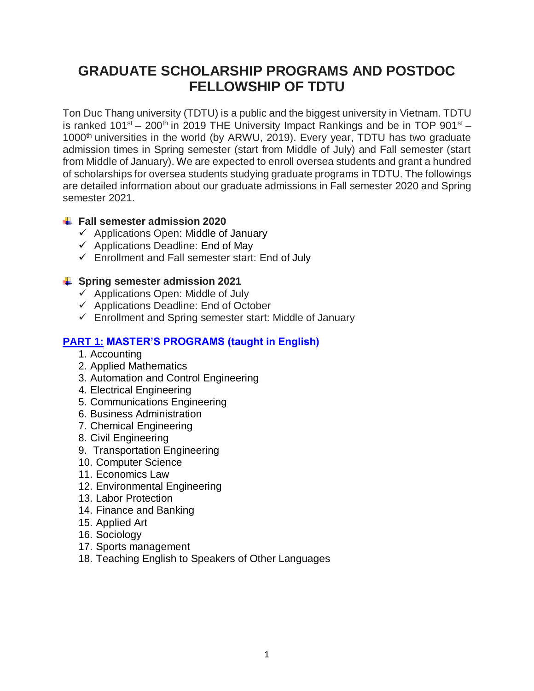# **GRADUATE SCHOLARSHIP PROGRAMS AND POSTDOC FELLOWSHIP OF TDTU**

Ton Duc Thang university (TDTU) is a public and the biggest university in Vietnam. TDTU is ranked  $101^{st} - 200^{th}$  in 2019 THE University Impact Rankings and be in TOP 901 $^{st} -$ 1000<sup>th</sup> universities in the world (by ARWU, 2019). Every year, TDTU has two graduate admission times in Spring semester (start from Middle of July) and Fall semester (start from Middle of January). We are expected to enroll oversea students and grant a hundred of scholarships for oversea students studying graduate programs in TDTU. The followings are detailed information about our graduate admissions in Fall semester 2020 and Spring semester 2021.

## **Fall semester admission 2020**

- $\checkmark$  Applications Open: Middle of January
- $\checkmark$  Applications Deadline: End of May
- $\checkmark$  Enrollment and Fall semester start: End of July

#### **Spring semester admission 2021**

- $\checkmark$  Applications Open: Middle of July
- $\checkmark$  Applications Deadline: End of October
- $\checkmark$  Enrollment and Spring semester start: Middle of January

# **PART 1: MASTER'S PROGRAMS (taught in English)**

- 1. Accounting
- 2. Applied Mathematics
- 3. Automation and Control Engineering
- 4. Electrical Engineering
- 5. Communications Engineering
- 6. Business Administration
- 7. Chemical Engineering
- 8. Civil Engineering
- 9. Transportation Engineering
- 10. Computer Science
- 11. Economics Law
- 12. Environmental Engineering
- 13. Labor Protection
- 14. Finance and Banking
- 15. Applied Art
- 16. Sociology
- 17. Sports management
- 18. Teaching English to Speakers of Other Languages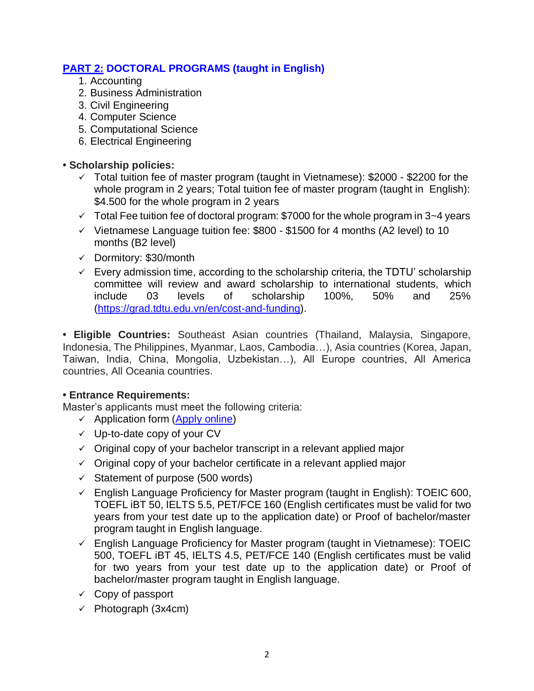# **PART 2: DOCTORAL PROGRAMS (taught in English)**

- 1. Accounting
- 2. Business Administration
- 3. Civil Engineering
- 4. Computer Science
- 5. Computational Science
- 6. Electrical Engineering

#### **• Scholarship policies:**

- $\checkmark$  Total tuition fee of master program (taught in Vietnamese): \$2000 \$2200 for the whole program in 2 years; Total tuition fee of master program (taught in English): \$4.500 for the whole program in 2 years
- $\checkmark$  Total Fee tuition fee of doctoral program: \$7000 for the whole program in 3~4 years
- $\checkmark$  Vietnamese Language tuition fee: \$800 \$1500 for 4 months (A2 level) to 10 months (B2 level)
- $\checkmark$  Dormitory: \$30/month
- $\checkmark$  Every admission time, according to the scholarship criteria, the TDTU' scholarship committee will review and award scholarship to international students, which include 03 levels of scholarship 100%, 50% and 25% [\(https://grad.tdtu.edu.vn/en/cost-and-funding\)](https://grad.tdtu.edu.vn/en/cost-and-funding).

**• Eligible Countries:** Southeast Asian countries (Thailand, Malaysia, Singapore, Indonesia, The Philippines, Myanmar, Laos, Cambodia…), Asia countries (Korea, Japan, Taiwan, India, China, Mongolia, Uzbekistan…), All Europe countries, All America countries, All Oceania countries.

#### **• Entrance Requirements:**

Master's applicants must meet the following criteria:

- $\checkmark$  Application form (Apply [online\)](http://gradadmissions.tdtu.edu.vn/)
- $\checkmark$  Up-to-date copy of your CV
- $\checkmark$  Original copy of your bachelor transcript in a relevant applied major
- $\checkmark$  Original copy of your bachelor certificate in a relevant applied major
- $\checkmark$  Statement of purpose (500 words)
- $\checkmark$  English Language Proficiency for Master program (taught in English): TOEIC 600, TOEFL iBT 50, IELTS 5.5, PET/FCE 160 (English certificates must be valid for two years from your test date up to the application date) or Proof of bachelor/master program taught in English language.
- $\checkmark$  English Language Proficiency for Master program (taught in Vietnamese): TOEIC 500, TOEFL iBT 45, IELTS 4.5, PET/FCE 140 (English certificates must be valid for two years from your test date up to the application date) or Proof of bachelor/master program taught in English language.
- $\checkmark$  Copy of passport
- $\checkmark$  Photograph (3x4cm)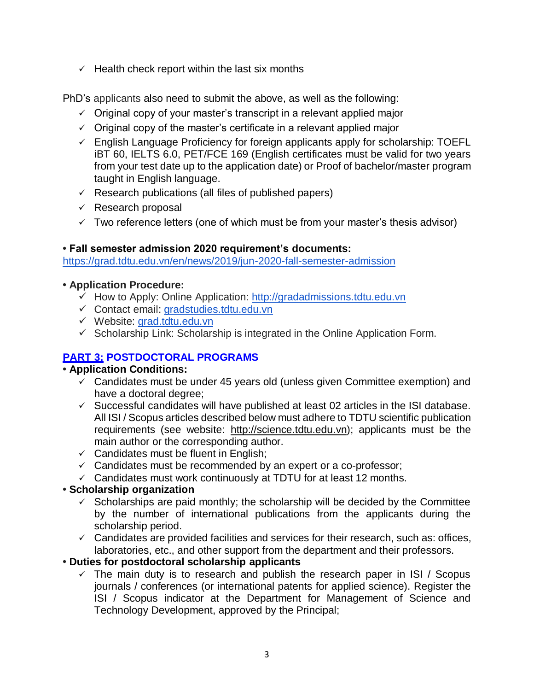$\checkmark$  Health check report within the last six months

PhD's applicants also need to submit the above, as well as the following:

- $\checkmark$  Original copy of your master's transcript in a relevant applied major
- $\checkmark$  Original copy of the master's certificate in a relevant applied major
- $\checkmark$  English Language Proficiency for foreign applicants apply for scholarship: TOEFL iBT 60, IELTS 6.0, PET/FCE 169 (English certificates must be valid for two years from your test date up to the application date) or Proof of bachelor/master program taught in English language.
- $\checkmark$  Research publications (all files of published papers)
- $\checkmark$  Research proposal
- $\checkmark$  Two reference letters (one of which must be from your master's thesis advisor)

## **• Fall semester admission 2020 requirement's documents:**

https://grad.tdtu.edu.vn/en/news/2019/jun-2020-fall-semester-admission

#### **• Application Procedure:**

- $\checkmark$  How to Apply: Online Application: [http://gradadmissions.tdtu.edu.vn](http://gradadmissions.tdtu.edu.vn/)
- Contact email: [gradstudies.tdtu.edu.vn](http://gradstudies.tdtu.edu.vn/)
- Website: [grad.tdtu.edu.vn](http://gradstudies.tdtu.edu.vn/)
- $\checkmark$  Scholarship Link: Scholarship is integrated in the Online Application Form.

# **PART 3: POSTDOCTORAL PROGRAMS**

## **• Application Conditions:**

- $\checkmark$  Candidates must be under 45 years old (unless given Committee exemption) and have a doctoral degree;
- $\checkmark$  Successful candidates will have published at least 02 articles in the ISI database. All ISI / Scopus articles described below must adhere to TDTU scientific publication requirements (see website: [http://science.tdtu.edu.vn\)](http://science.tdtu.edu.vn/); applicants must be the main author or the corresponding author.
- $\checkmark$  Candidates must be fluent in English;
- $\checkmark$  Candidates must be recommended by an expert or a co-professor;
- $\checkmark$  Candidates must work continuously at TDTU for at least 12 months.

## **• Scholarship organization**

- $\checkmark$  Scholarships are paid monthly; the scholarship will be decided by the Committee by the number of international publications from the applicants during the scholarship period.
- $\checkmark$  Candidates are provided facilities and services for their research, such as: offices, laboratories, etc., and other support from the department and their professors.

## **• Duties for postdoctoral scholarship applicants**

 $\checkmark$  The main duty is to research and publish the research paper in ISI / Scopus journals / conferences (or international patents for applied science). Register the ISI / Scopus indicator at the Department for Management of Science and Technology Development, approved by the Principal;